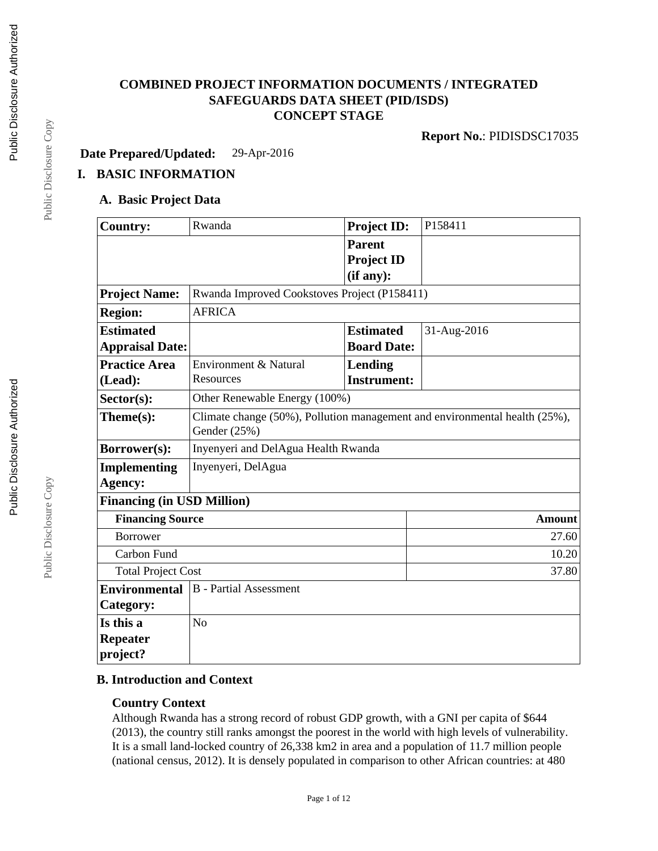# **COMBINED PROJECT INFORMATION DOCUMENTS / INTEGRATED SAFEGUARDS DATA SHEET (PID/ISDS) CONCEPT STAGE**

**Report No.**: PIDISDSC17035

**Date Prepared/Updated:** 29-Apr-2016

# **I. BASIC INFORMATION**

## **A. Basic Project Data**

| <b>Country:</b>                                       | Rwanda                                                                                     | <b>Project ID:</b> | P158411       |  |
|-------------------------------------------------------|--------------------------------------------------------------------------------------------|--------------------|---------------|--|
|                                                       |                                                                                            | <b>Parent</b>      |               |  |
|                                                       |                                                                                            | <b>Project ID</b>  |               |  |
|                                                       |                                                                                            | (if any):          |               |  |
| <b>Project Name:</b>                                  | Rwanda Improved Cookstoves Project (P158411)                                               |                    |               |  |
| <b>Region:</b>                                        | <b>AFRICA</b>                                                                              |                    |               |  |
| <b>Estimated</b>                                      |                                                                                            | <b>Estimated</b>   | 31-Aug-2016   |  |
| <b>Appraisal Date:</b>                                |                                                                                            | <b>Board Date:</b> |               |  |
| <b>Practice Area</b>                                  | Environment & Natural                                                                      | <b>Lending</b>     |               |  |
| (Lead):                                               | Resources                                                                                  | <b>Instrument:</b> |               |  |
| Sector(s):                                            | Other Renewable Energy (100%)                                                              |                    |               |  |
| Theme(s):                                             | Climate change (50%), Pollution management and environmental health (25%),<br>Gender (25%) |                    |               |  |
| Borrower(s):                                          | Inyenyeri and DelAgua Health Rwanda                                                        |                    |               |  |
| <b>Implementing</b>                                   | Inyenyeri, DelAgua                                                                         |                    |               |  |
| Agency:                                               |                                                                                            |                    |               |  |
| <b>Financing (in USD Million)</b>                     |                                                                                            |                    |               |  |
| <b>Financing Source</b>                               |                                                                                            |                    | <b>Amount</b> |  |
| <b>Borrower</b>                                       |                                                                                            |                    | 27.60         |  |
| <b>Carbon Fund</b>                                    |                                                                                            |                    | 10.20         |  |
| <b>Total Project Cost</b>                             |                                                                                            |                    | 37.80         |  |
| <b>Environmental</b><br><b>B</b> - Partial Assessment |                                                                                            |                    |               |  |
| Category:                                             |                                                                                            |                    |               |  |
| Is this a                                             | N <sub>o</sub>                                                                             |                    |               |  |
| <b>Repeater</b>                                       |                                                                                            |                    |               |  |
| project?                                              |                                                                                            |                    |               |  |

# **B. Introduction and Context**

## **Country Context**

Although Rwanda has a strong record of robust GDP growth, with a GNI per capita of \$644 (2013), the country still ranks amongst the poorest in the world with high levels of vulnerability. It is a small land-locked country of 26,338 km2 in area and a population of 11.7 million people (national census, 2012). It is densely populated in comparison to other African countries: at 480

Page 1 of 12

Public Disclosure Copy Public Disclosure Copy

Public Disclosure Copy

Public Disclosure Copy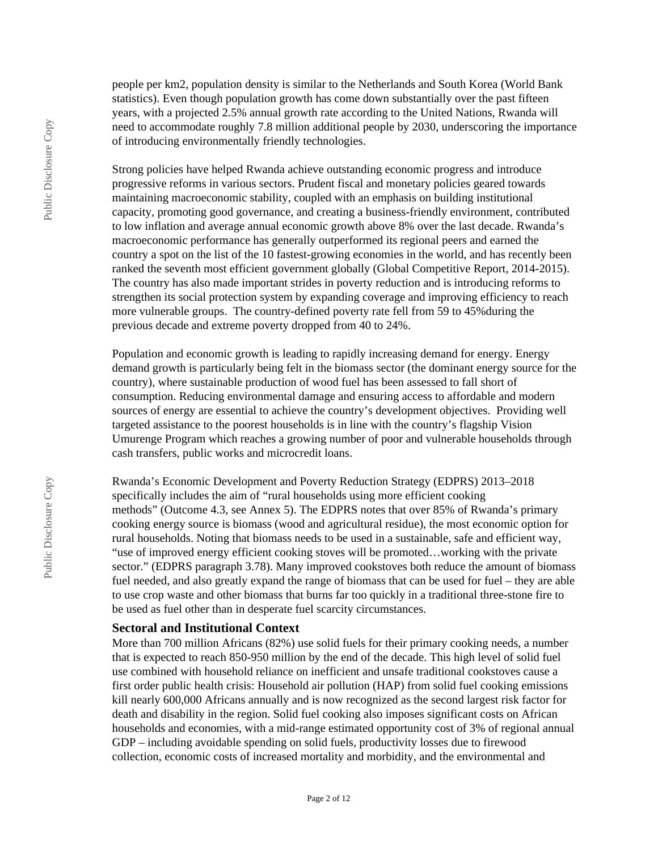people per km2, population density is similar to the Netherlands and South Korea (World Bank statistics). Even though population growth has come down substantially over the past fifteen years, with a projected 2.5% annual growth rate according to the United Nations, Rwanda will need to accommodate roughly 7.8 million additional people by 2030, underscoring the importance of introducing environmentally friendly technologies.

Strong policies have helped Rwanda achieve outstanding economic progress and introduce progressive reforms in various sectors. Prudent fiscal and monetary policies geared towards maintaining macroeconomic stability, coupled with an emphasis on building institutional capacity, promoting good governance, and creating a business-friendly environment, contributed to low inflation and average annual economic growth above 8% over the last decade. Rwanda's macroeconomic performance has generally outperformed its regional peers and earned the country a spot on the list of the 10 fastest-growing economies in the world, and has recently been ranked the seventh most efficient government globally (Global Competitive Report, 2014-2015). The country has also made important strides in poverty reduction and is introducing reforms to strengthen its social protection system by expanding coverage and improving efficiency to reach more vulnerable groups. The country-defined poverty rate fell from 59 to 45%during the previous decade and extreme poverty dropped from 40 to 24%.

Population and economic growth is leading to rapidly increasing demand for energy. Energy demand growth is particularly being felt in the biomass sector (the dominant energy source for the country), where sustainable production of wood fuel has been assessed to fall short of consumption. Reducing environmental damage and ensuring access to affordable and modern sources of energy are essential to achieve the country's development objectives. Providing well targeted assistance to the poorest households is in line with the country's flagship Vision Umurenge Program which reaches a growing number of poor and vulnerable households through cash transfers, public works and microcredit loans.

Rwanda's Economic Development and Poverty Reduction Strategy (EDPRS) 2013–2018 specifically includes the aim of "rural households using more efficient cooking methods" (Outcome 4.3, see Annex 5). The EDPRS notes that over 85% of Rwanda's primary cooking energy source is biomass (wood and agricultural residue), the most economic option for rural households. Noting that biomass needs to be used in a sustainable, safe and efficient way, "use of improved energy efficient cooking stoves will be promoted…working with the private sector." (EDPRS paragraph 3.78). Many improved cookstoves both reduce the amount of biomass fuel needed, and also greatly expand the range of biomass that can be used for fuel – they are able to use crop waste and other biomass that burns far too quickly in a traditional three-stone fire to be used as fuel other than in desperate fuel scarcity circumstances.

#### **Sectoral and Institutional Context**

More than 700 million Africans (82%) use solid fuels for their primary cooking needs, a number that is expected to reach 850-950 million by the end of the decade. This high level of solid fuel use combined with household reliance on inefficient and unsafe traditional cookstoves cause a first order public health crisis: Household air pollution (HAP) from solid fuel cooking emissions kill nearly 600,000 Africans annually and is now recognized as the second largest risk factor for death and disability in the region. Solid fuel cooking also imposes significant costs on African households and economies, with a mid-range estimated opportunity cost of 3% of regional annual GDP – including avoidable spending on solid fuels, productivity losses due to firewood collection, economic costs of increased mortality and morbidity, and the environmental and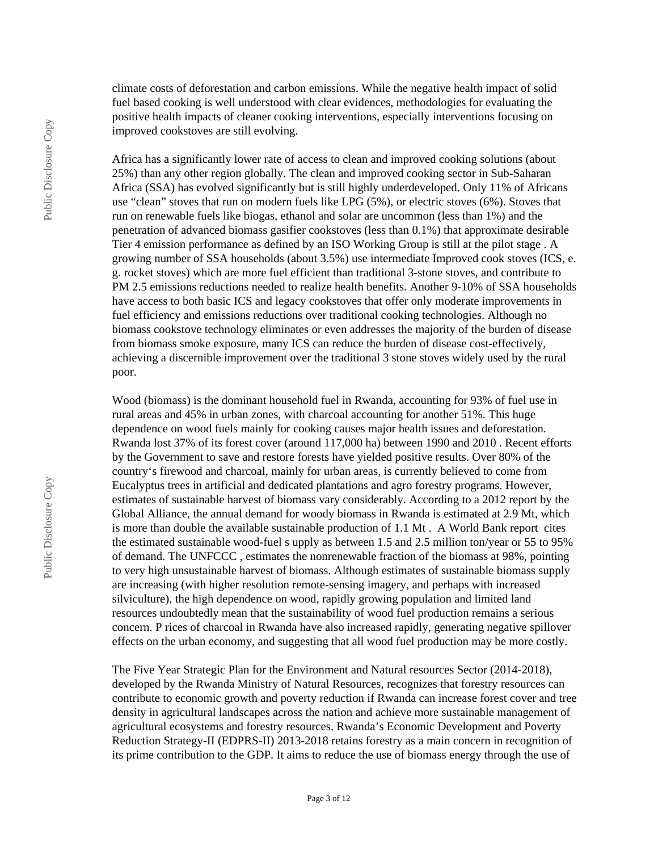climate costs of deforestation and carbon emissions. While the negative health impact of solid fuel based cooking is well understood with clear evidences, methodologies for evaluating the positive health impacts of cleaner cooking interventions, especially interventions focusing on improved cookstoves are still evolving.

Africa has a significantly lower rate of access to clean and improved cooking solutions (about 25%) than any other region globally. The clean and improved cooking sector in Sub-Saharan Africa (SSA) has evolved significantly but is still highly underdeveloped. Only 11% of Africans use "clean" stoves that run on modern fuels like LPG (5%), or electric stoves (6%). Stoves that run on renewable fuels like biogas, ethanol and solar are uncommon (less than 1%) and the penetration of advanced biomass gasifier cookstoves (less than 0.1%) that approximate desirable Tier 4 emission performance as defined by an ISO Working Group is still at the pilot stage . A growing number of SSA households (about 3.5%) use intermediate Improved cook stoves (ICS, e. g. rocket stoves) which are more fuel efficient than traditional 3-stone stoves, and contribute to PM 2.5 emissions reductions needed to realize health benefits. Another 9-10% of SSA households have access to both basic ICS and legacy cookstoves that offer only moderate improvements in fuel efficiency and emissions reductions over traditional cooking technologies. Although no biomass cookstove technology eliminates or even addresses the majority of the burden of disease from biomass smoke exposure, many ICS can reduce the burden of disease cost-effectively, achieving a discernible improvement over the traditional 3 stone stoves widely used by the rural poor.

Wood (biomass) is the dominant household fuel in Rwanda, accounting for 93% of fuel use in rural areas and 45% in urban zones, with charcoal accounting for another 51%. This huge dependence on wood fuels mainly for cooking causes major health issues and deforestation. Rwanda lost 37% of its forest cover (around 117,000 ha) between 1990 and 2010 . Recent efforts by the Government to save and restore forests have yielded positive results. Over 80% of the country's firewood and charcoal, mainly for urban areas, is currently believed to come from Eucalyptus trees in artificial and dedicated plantations and agro forestry programs. However, estimates of sustainable harvest of biomass vary considerably. According to a 2012 report by the Global Alliance, the annual demand for woody biomass in Rwanda is estimated at 2.9 Mt, which is more than double the available sustainable production of 1.1 Mt . A World Bank report cites the estimated sustainable wood-fuel s upply as between 1.5 and 2.5 million ton/year or 55 to 95% of demand. The UNFCCC , estimates the nonrenewable fraction of the biomass at 98%, pointing to very high unsustainable harvest of biomass. Although estimates of sustainable biomass supply are increasing (with higher resolution remote-sensing imagery, and perhaps with increased silviculture), the high dependence on wood, rapidly growing population and limited land resources undoubtedly mean that the sustainability of wood fuel production remains a serious concern. P rices of charcoal in Rwanda have also increased rapidly, generating negative spillover effects on the urban economy, and suggesting that all wood fuel production may be more costly.

The Five Year Strategic Plan for the Environment and Natural resources Sector (2014-2018), developed by the Rwanda Ministry of Natural Resources, recognizes that forestry resources can contribute to economic growth and poverty reduction if Rwanda can increase forest cover and tree density in agricultural landscapes across the nation and achieve more sustainable management of agricultural ecosystems and forestry resources. Rwanda's Economic Development and Poverty Reduction Strategy-II (EDPRS-II) 2013-2018 retains forestry as a main concern in recognition of its prime contribution to the GDP. It aims to reduce the use of biomass energy through the use of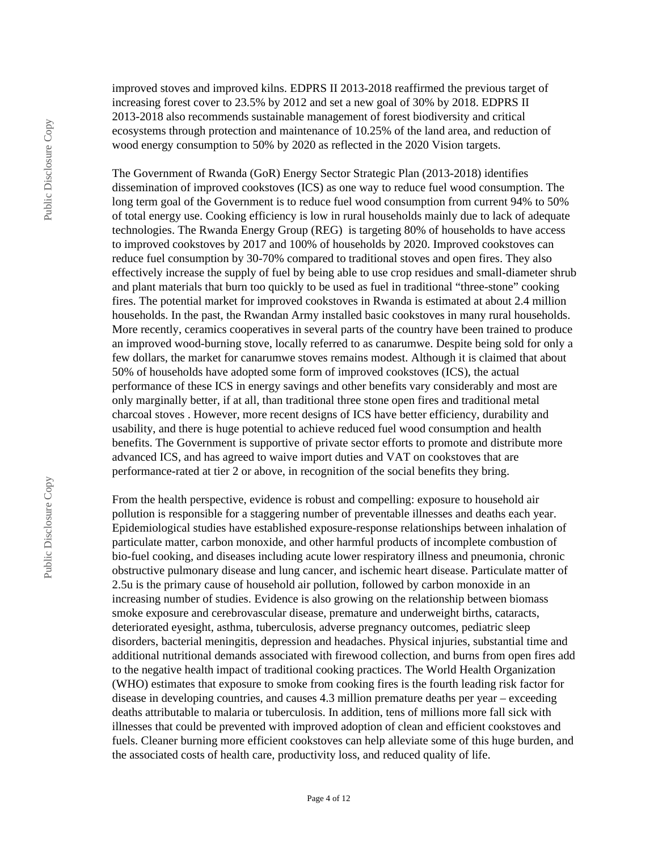improved stoves and improved kilns. EDPRS II 2013-2018 reaffirmed the previous target of increasing forest cover to 23.5% by 2012 and set a new goal of 30% by 2018. EDPRS II 2013-2018 also recommends sustainable management of forest biodiversity and critical ecosystems through protection and maintenance of 10.25% of the land area, and reduction of wood energy consumption to 50% by 2020 as reflected in the 2020 Vision targets.

The Government of Rwanda (GoR) Energy Sector Strategic Plan (2013-2018) identifies dissemination of improved cookstoves (ICS) as one way to reduce fuel wood consumption. The long term goal of the Government is to reduce fuel wood consumption from current 94% to 50% of total energy use. Cooking efficiency is low in rural households mainly due to lack of adequate technologies. The Rwanda Energy Group (REG) is targeting 80% of households to have access to improved cookstoves by 2017 and 100% of households by 2020. Improved cookstoves can reduce fuel consumption by 30-70% compared to traditional stoves and open fires. They also effectively increase the supply of fuel by being able to use crop residues and small-diameter shrub and plant materials that burn too quickly to be used as fuel in traditional "three-stone" cooking fires. The potential market for improved cookstoves in Rwanda is estimated at about 2.4 million households. In the past, the Rwandan Army installed basic cookstoves in many rural households. More recently, ceramics cooperatives in several parts of the country have been trained to produce an improved wood-burning stove, locally referred to as canarumwe. Despite being sold for only a few dollars, the market for canarumwe stoves remains modest. Although it is claimed that about 50% of households have adopted some form of improved cookstoves (ICS), the actual performance of these ICS in energy savings and other benefits vary considerably and most are only marginally better, if at all, than traditional three stone open fires and traditional metal charcoal stoves . However, more recent designs of ICS have better efficiency, durability and usability, and there is huge potential to achieve reduced fuel wood consumption and health benefits. The Government is supportive of private sector efforts to promote and distribute more advanced ICS, and has agreed to waive import duties and VAT on cookstoves that are performance-rated at tier 2 or above, in recognition of the social benefits they bring.

From the health perspective, evidence is robust and compelling: exposure to household air pollution is responsible for a staggering number of preventable illnesses and deaths each year. Epidemiological studies have established exposure-response relationships between inhalation of particulate matter, carbon monoxide, and other harmful products of incomplete combustion of bio-fuel cooking, and diseases including acute lower respiratory illness and pneumonia, chronic obstructive pulmonary disease and lung cancer, and ischemic heart disease. Particulate matter of 2.5u is the primary cause of household air pollution, followed by carbon monoxide in an increasing number of studies. Evidence is also growing on the relationship between biomass smoke exposure and cerebrovascular disease, premature and underweight births, cataracts, deteriorated eyesight, asthma, tuberculosis, adverse pregnancy outcomes, pediatric sleep disorders, bacterial meningitis, depression and headaches. Physical injuries, substantial time and additional nutritional demands associated with firewood collection, and burns from open fires add to the negative health impact of traditional cooking practices. The World Health Organization (WHO) estimates that exposure to smoke from cooking fires is the fourth leading risk factor for disease in developing countries, and causes 4.3 million premature deaths per year – exceeding deaths attributable to malaria or tuberculosis. In addition, tens of millions more fall sick with illnesses that could be prevented with improved adoption of clean and efficient cookstoves and fuels. Cleaner burning more efficient cookstoves can help alleviate some of this huge burden, and the associated costs of health care, productivity loss, and reduced quality of life.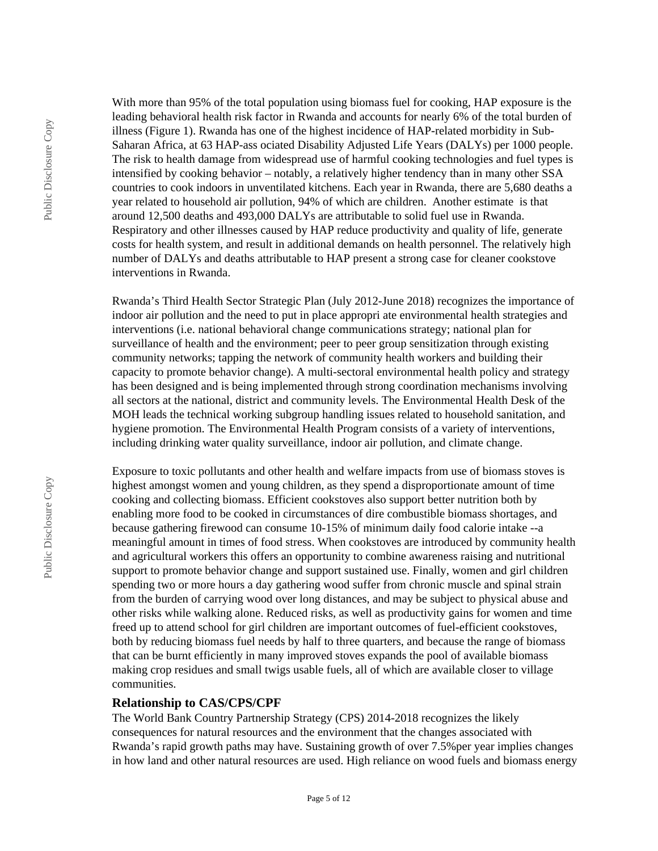With more than 95% of the total population using biomass fuel for cooking, HAP exposure is the leading behavioral health risk factor in Rwanda and accounts for nearly 6% of the total burden of illness (Figure 1). Rwanda has one of the highest incidence of HAP-related morbidity in Sub-Saharan Africa, at 63 HAP-ass ociated Disability Adjusted Life Years (DALYs) per 1000 people. The risk to health damage from widespread use of harmful cooking technologies and fuel types is intensified by cooking behavior – notably, a relatively higher tendency than in many other SSA countries to cook indoors in unventilated kitchens. Each year in Rwanda, there are 5,680 deaths a year related to household air pollution, 94% of which are children. Another estimate is that around 12,500 deaths and 493,000 DALYs are attributable to solid fuel use in Rwanda. Respiratory and other illnesses caused by HAP reduce productivity and quality of life, generate costs for health system, and result in additional demands on health personnel. The relatively high number of DALYs and deaths attributable to HAP present a strong case for cleaner cookstove interventions in Rwanda.

Rwanda's Third Health Sector Strategic Plan (July 2012-June 2018) recognizes the importance of indoor air pollution and the need to put in place appropri ate environmental health strategies and interventions (i.e. national behavioral change communications strategy; national plan for surveillance of health and the environment; peer to peer group sensitization through existing community networks; tapping the network of community health workers and building their capacity to promote behavior change). A multi-sectoral environmental health policy and strategy has been designed and is being implemented through strong coordination mechanisms involving all sectors at the national, district and community levels. The Environmental Health Desk of the MOH leads the technical working subgroup handling issues related to household sanitation, and hygiene promotion. The Environmental Health Program consists of a variety of interventions, including drinking water quality surveillance, indoor air pollution, and climate change.

Exposure to toxic pollutants and other health and welfare impacts from use of biomass stoves is highest amongst women and young children, as they spend a disproportionate amount of time cooking and collecting biomass. Efficient cookstoves also support better nutrition both by enabling more food to be cooked in circumstances of dire combustible biomass shortages, and because gathering firewood can consume 10-15% of minimum daily food calorie intake --a meaningful amount in times of food stress. When cookstoves are introduced by community health and agricultural workers this offers an opportunity to combine awareness raising and nutritional support to promote behavior change and support sustained use. Finally, women and girl children spending two or more hours a day gathering wood suffer from chronic muscle and spinal strain from the burden of carrying wood over long distances, and may be subject to physical abuse and other risks while walking alone. Reduced risks, as well as productivity gains for women and time freed up to attend school for girl children are important outcomes of fuel-efficient cookstoves, both by reducing biomass fuel needs by half to three quarters, and because the range of biomass that can be burnt efficiently in many improved stoves expands the pool of available biomass making crop residues and small twigs usable fuels, all of which are available closer to village communities.

#### **Relationship to CAS/CPS/CPF**

The World Bank Country Partnership Strategy (CPS) 2014-2018 recognizes the likely consequences for natural resources and the environment that the changes associated with Rwanda's rapid growth paths may have. Sustaining growth of over 7.5%per year implies changes in how land and other natural resources are used. High reliance on wood fuels and biomass energy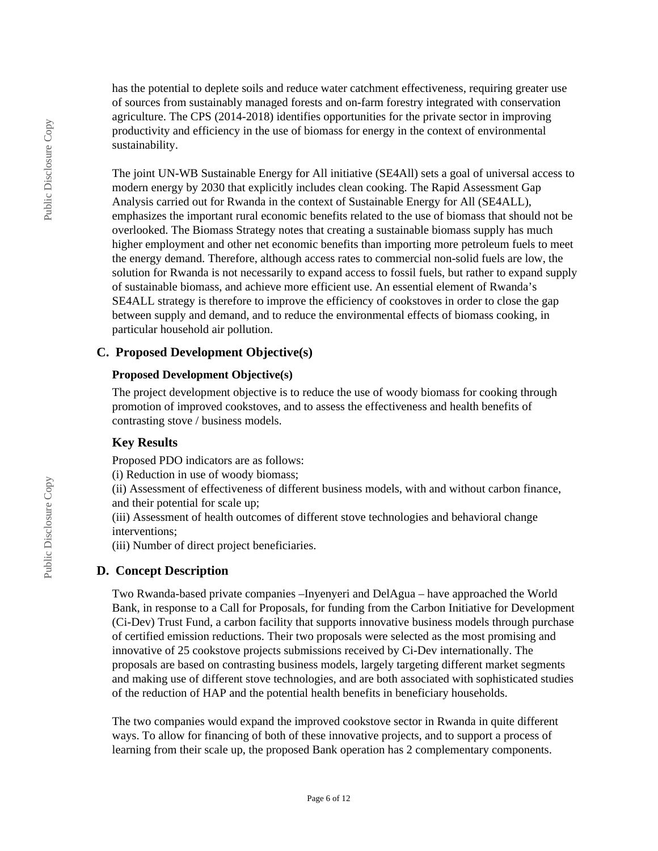has the potential to deplete soils and reduce water catchment effectiveness, requiring greater use of sources from sustainably managed forests and on-farm forestry integrated with conservation agriculture. The CPS (2014-2018) identifies opportunities for the private sector in improving productivity and efficiency in the use of biomass for energy in the context of environmental sustainability.

The joint UN-WB Sustainable Energy for All initiative (SE4All) sets a goal of universal access to modern energy by 2030 that explicitly includes clean cooking. The Rapid Assessment Gap Analysis carried out for Rwanda in the context of Sustainable Energy for All (SE4ALL), emphasizes the important rural economic benefits related to the use of biomass that should not be overlooked. The Biomass Strategy notes that creating a sustainable biomass supply has much higher employment and other net economic benefits than importing more petroleum fuels to meet the energy demand. Therefore, although access rates to commercial non-solid fuels are low, the solution for Rwanda is not necessarily to expand access to fossil fuels, but rather to expand supply of sustainable biomass, and achieve more efficient use. An essential element of Rwanda's SE4ALL strategy is therefore to improve the efficiency of cookstoves in order to close the gap between supply and demand, and to reduce the environmental effects of biomass cooking, in particular household air pollution.

### **C. Proposed Development Objective(s)**

#### **Proposed Development Objective(s)**

The project development objective is to reduce the use of woody biomass for cooking through promotion of improved cookstoves, and to assess the effectiveness and health benefits of contrasting stove / business models.

## **Key Results**

Proposed PDO indicators are as follows:

(i) Reduction in use of woody biomass;

(ii) Assessment of effectiveness of different business models, with and without carbon finance, and their potential for scale up;

(iii) Assessment of health outcomes of different stove technologies and behavioral change interventions;

(iii) Number of direct project beneficiaries.

## **D. Concept Description**

Two Rwanda-based private companies –Inyenyeri and DelAgua – have approached the World Bank, in response to a Call for Proposals, for funding from the Carbon Initiative for Development (Ci-Dev) Trust Fund, a carbon facility that supports innovative business models through purchase of certified emission reductions. Their two proposals were selected as the most promising and innovative of 25 cookstove projects submissions received by Ci-Dev internationally. The proposals are based on contrasting business models, largely targeting different market segments and making use of different stove technologies, and are both associated with sophisticated studies of the reduction of HAP and the potential health benefits in beneficiary households.

The two companies would expand the improved cookstove sector in Rwanda in quite different ways. To allow for financing of both of these innovative projects, and to support a process of learning from their scale up, the proposed Bank operation has 2 complementary components.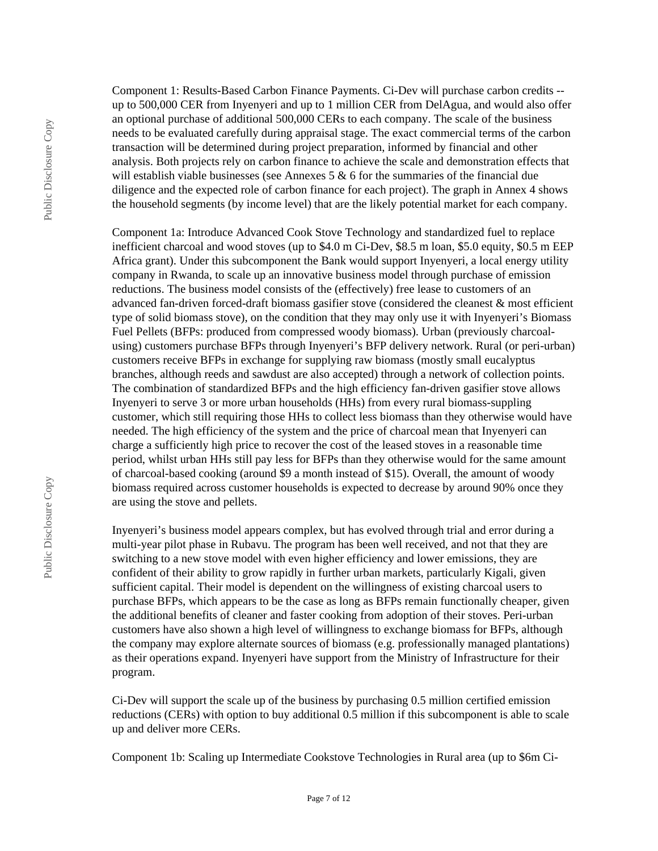Component 1: Results-Based Carbon Finance Payments. Ci-Dev will purchase carbon credits - up to 500,000 CER from Inyenyeri and up to 1 million CER from DelAgua, and would also offer an optional purchase of additional 500,000 CERs to each company. The scale of the business needs to be evaluated carefully during appraisal stage. The exact commercial terms of the carbon transaction will be determined during project preparation, informed by financial and other analysis. Both projects rely on carbon finance to achieve the scale and demonstration effects that will establish viable businesses (see Annexes  $5 \& 6$  for the summaries of the financial due diligence and the expected role of carbon finance for each project). The graph in Annex 4 shows the household segments (by income level) that are the likely potential market for each company.

Component 1a: Introduce Advanced Cook Stove Technology and standardized fuel to replace inefficient charcoal and wood stoves (up to \$4.0 m Ci-Dev, \$8.5 m loan, \$5.0 equity, \$0.5 m EEP Africa grant). Under this subcomponent the Bank would support Inyenyeri, a local energy utility company in Rwanda, to scale up an innovative business model through purchase of emission reductions. The business model consists of the (effectively) free lease to customers of an advanced fan-driven forced-draft biomass gasifier stove (considered the cleanest & most efficient type of solid biomass stove), on the condition that they may only use it with Inyenyeri's Biomass Fuel Pellets (BFPs: produced from compressed woody biomass). Urban (previously charcoalusing) customers purchase BFPs through Inyenyeri's BFP delivery network. Rural (or peri-urban) customers receive BFPs in exchange for supplying raw biomass (mostly small eucalyptus branches, although reeds and sawdust are also accepted) through a network of collection points. The combination of standardized BFPs and the high efficiency fan-driven gasifier stove allows Inyenyeri to serve 3 or more urban households (HHs) from every rural biomass-suppling customer, which still requiring those HHs to collect less biomass than they otherwise would have needed. The high efficiency of the system and the price of charcoal mean that Inyenyeri can charge a sufficiently high price to recover the cost of the leased stoves in a reasonable time period, whilst urban HHs still pay less for BFPs than they otherwise would for the same amount of charcoal-based cooking (around \$9 a month instead of \$15). Overall, the amount of woody biomass required across customer households is expected to decrease by around 90% once they are using the stove and pellets.

Inyenyeri's business model appears complex, but has evolved through trial and error during a multi-year pilot phase in Rubavu. The program has been well received, and not that they are switching to a new stove model with even higher efficiency and lower emissions, they are confident of their ability to grow rapidly in further urban markets, particularly Kigali, given sufficient capital. Their model is dependent on the willingness of existing charcoal users to purchase BFPs, which appears to be the case as long as BFPs remain functionally cheaper, given the additional benefits of cleaner and faster cooking from adoption of their stoves. Peri-urban customers have also shown a high level of willingness to exchange biomass for BFPs, although the company may explore alternate sources of biomass (e.g. professionally managed plantations) as their operations expand. Inyenyeri have support from the Ministry of Infrastructure for their program.

Ci-Dev will support the scale up of the business by purchasing 0.5 million certified emission reductions (CERs) with option to buy additional 0.5 million if this subcomponent is able to scale up and deliver more CERs.

Component 1b: Scaling up Intermediate Cookstove Technologies in Rural area (up to \$6m Ci-

Public Disclosure Copy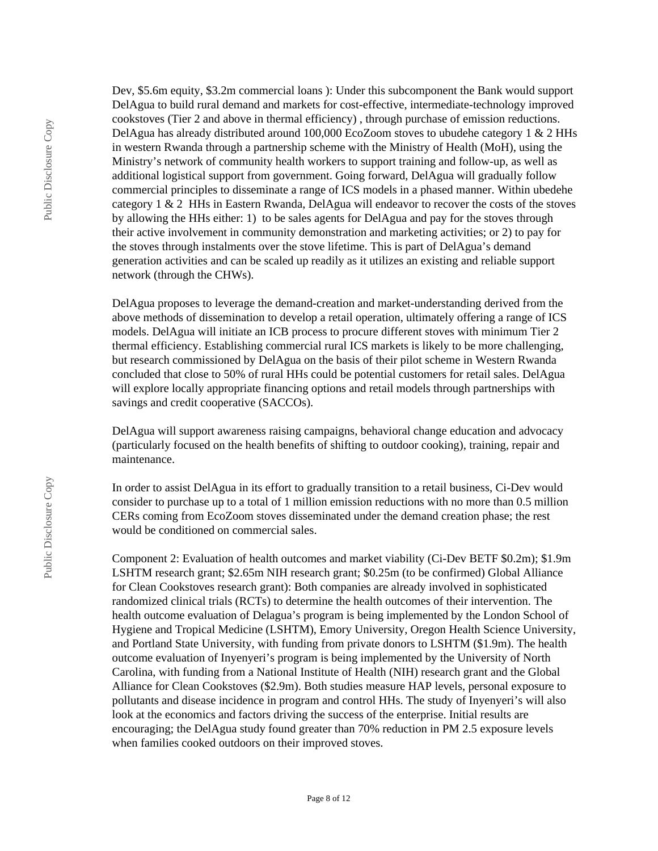Public Disclosure Copy

Dev, \$5.6m equity, \$3.2m commercial loans ): Under this subcomponent the Bank would support DelAgua to build rural demand and markets for cost-effective, intermediate-technology improved cookstoves (Tier 2 and above in thermal efficiency) , through purchase of emission reductions. DelAgua has already distributed around 100,000 EcoZoom stoves to ubudehe category 1 & 2 HHs in western Rwanda through a partnership scheme with the Ministry of Health (MoH), using the Ministry's network of community health workers to support training and follow-up, as well as additional logistical support from government. Going forward, DelAgua will gradually follow commercial principles to disseminate a range of ICS models in a phased manner. Within ubedehe category 1 & 2 HHs in Eastern Rwanda, DelAgua will endeavor to recover the costs of the stoves by allowing the HHs either: 1) to be sales agents for DelAgua and pay for the stoves through their active involvement in community demonstration and marketing activities; or 2) to pay for the stoves through instalments over the stove lifetime. This is part of DelAgua's demand generation activities and can be scaled up readily as it utilizes an existing and reliable support network (through the CHWs).

DelAgua proposes to leverage the demand-creation and market-understanding derived from the above methods of dissemination to develop a retail operation, ultimately offering a range of ICS models. DelAgua will initiate an ICB process to procure different stoves with minimum Tier 2 thermal efficiency. Establishing commercial rural ICS markets is likely to be more challenging, but research commissioned by DelAgua on the basis of their pilot scheme in Western Rwanda concluded that close to 50% of rural HHs could be potential customers for retail sales. DelAgua will explore locally appropriate financing options and retail models through partnerships with savings and credit cooperative (SACCOs).

DelAgua will support awareness raising campaigns, behavioral change education and advocacy (particularly focused on the health benefits of shifting to outdoor cooking), training, repair and maintenance.

In order to assist DelAgua in its effort to gradually transition to a retail business, Ci-Dev would consider to purchase up to a total of 1 million emission reductions with no more than 0.5 million CERs coming from EcoZoom stoves disseminated under the demand creation phase; the rest would be conditioned on commercial sales.

Component 2: Evaluation of health outcomes and market viability (Ci-Dev BETF \$0.2m); \$1.9m LSHTM research grant; \$2.65m NIH research grant; \$0.25m (to be confirmed) Global Alliance for Clean Cookstoves research grant): Both companies are already involved in sophisticated randomized clinical trials (RCTs) to determine the health outcomes of their intervention. The health outcome evaluation of Delagua's program is being implemented by the London School of Hygiene and Tropical Medicine (LSHTM), Emory University, Oregon Health Science University, and Portland State University, with funding from private donors to LSHTM (\$1.9m). The health outcome evaluation of Inyenyeri's program is being implemented by the University of North Carolina, with funding from a National Institute of Health (NIH) research grant and the Global Alliance for Clean Cookstoves (\$2.9m). Both studies measure HAP levels, personal exposure to pollutants and disease incidence in program and control HHs. The study of Inyenyeri's will also look at the economics and factors driving the success of the enterprise. Initial results are encouraging; the DelAgua study found greater than 70% reduction in PM 2.5 exposure levels when families cooked outdoors on their improved stoves.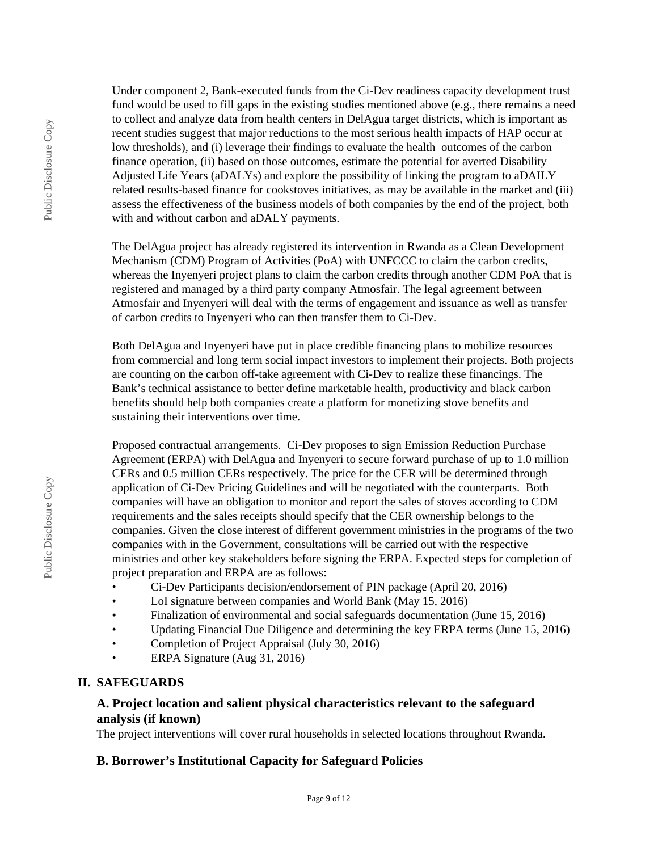Under component 2, Bank-executed funds from the Ci-Dev readiness capacity development trust fund would be used to fill gaps in the existing studies mentioned above (e.g., there remains a need to collect and analyze data from health centers in DelAgua target districts, which is important as recent studies suggest that major reductions to the most serious health impacts of HAP occur at low thresholds), and (i) leverage their findings to evaluate the health outcomes of the carbon finance operation, (ii) based on those outcomes, estimate the potential for averted Disability Adjusted Life Years (aDALYs) and explore the possibility of linking the program to aDAILY related results-based finance for cookstoves initiatives, as may be available in the market and (iii) assess the effectiveness of the business models of both companies by the end of the project, both with and without carbon and aDALY payments.

The DelAgua project has already registered its intervention in Rwanda as a Clean Development Mechanism (CDM) Program of Activities (PoA) with UNFCCC to claim the carbon credits, whereas the Inyenyeri project plans to claim the carbon credits through another CDM PoA that is registered and managed by a third party company Atmosfair. The legal agreement between Atmosfair and Inyenyeri will deal with the terms of engagement and issuance as well as transfer of carbon credits to Inyenyeri who can then transfer them to Ci-Dev.

Both DelAgua and Inyenyeri have put in place credible financing plans to mobilize resources from commercial and long term social impact investors to implement their projects. Both projects are counting on the carbon off-take agreement with Ci-Dev to realize these financings. The Bank's technical assistance to better define marketable health, productivity and black carbon benefits should help both companies create a platform for monetizing stove benefits and sustaining their interventions over time.

Proposed contractual arrangements. Ci-Dev proposes to sign Emission Reduction Purchase Agreement (ERPA) with DelAgua and Inyenyeri to secure forward purchase of up to 1.0 million CERs and 0.5 million CERs respectively. The price for the CER will be determined through application of Ci-Dev Pricing Guidelines and will be negotiated with the counterparts. Both companies will have an obligation to monitor and report the sales of stoves according to CDM requirements and the sales receipts should specify that the CER ownership belongs to the companies. Given the close interest of different government ministries in the programs of the two companies with in the Government, consultations will be carried out with the respective ministries and other key stakeholders before signing the ERPA. Expected steps for completion of project preparation and ERPA are as follows:

- Ci-Dev Participants decision/endorsement of PIN package (April 20, 2016)
- LoI signature between companies and World Bank (May 15, 2016)
- Finalization of environmental and social safeguards documentation (June 15, 2016)
- Updating Financial Due Diligence and determining the key ERPA terms (June 15, 2016)
- Completion of Project Appraisal (July 30, 2016)
- ERPA Signature (Aug 31, 2016)

## **II. SAFEGUARDS**

# **A. Project location and salient physical characteristics relevant to the safeguard analysis (if known)**

The project interventions will cover rural households in selected locations throughout Rwanda.

# **B. Borrower's Institutional Capacity for Safeguard Policies**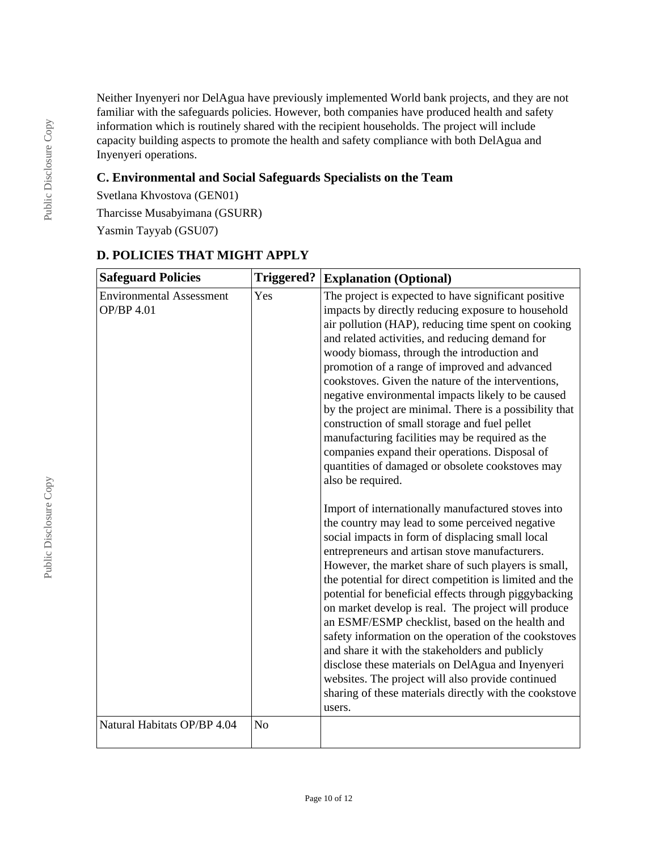Neither Inyenyeri nor DelAgua have previously implemented World bank projects, and they are not familiar with the safeguards policies. However, both companies have produced health and safety information which is routinely shared with the recipient households. The project will include capacity building aspects to promote the health and safety compliance with both DelAgua and Inyenyeri operations.

# **C. Environmental and Social Safeguards Specialists on the Team**

Svetlana Khvostova (GEN01) Tharcisse Musabyimana (GSURR)

Yasmin Tayyab (GSU07)

| <b>Safeguard Policies</b>                     | <b>Triggered?</b> | <b>Explanation (Optional)</b>                                                                                                                                                                                                                                                                                                                                                                                                                                                                                                                                                                                                                                                                                                                                                                                                                                                                                                                                                                                                                                                                                                                                                                                                                                                                                                                                                                                                                                                                                            |
|-----------------------------------------------|-------------------|--------------------------------------------------------------------------------------------------------------------------------------------------------------------------------------------------------------------------------------------------------------------------------------------------------------------------------------------------------------------------------------------------------------------------------------------------------------------------------------------------------------------------------------------------------------------------------------------------------------------------------------------------------------------------------------------------------------------------------------------------------------------------------------------------------------------------------------------------------------------------------------------------------------------------------------------------------------------------------------------------------------------------------------------------------------------------------------------------------------------------------------------------------------------------------------------------------------------------------------------------------------------------------------------------------------------------------------------------------------------------------------------------------------------------------------------------------------------------------------------------------------------------|
| <b>Environmental Assessment</b><br>OP/BP 4.01 | Yes               | The project is expected to have significant positive<br>impacts by directly reducing exposure to household<br>air pollution (HAP), reducing time spent on cooking<br>and related activities, and reducing demand for<br>woody biomass, through the introduction and<br>promotion of a range of improved and advanced<br>cookstoves. Given the nature of the interventions,<br>negative environmental impacts likely to be caused<br>by the project are minimal. There is a possibility that<br>construction of small storage and fuel pellet<br>manufacturing facilities may be required as the<br>companies expand their operations. Disposal of<br>quantities of damaged or obsolete cookstoves may<br>also be required.<br>Import of internationally manufactured stoves into<br>the country may lead to some perceived negative<br>social impacts in form of displacing small local<br>entrepreneurs and artisan stove manufacturers.<br>However, the market share of such players is small,<br>the potential for direct competition is limited and the<br>potential for beneficial effects through piggybacking<br>on market develop is real. The project will produce<br>an ESMF/ESMP checklist, based on the health and<br>safety information on the operation of the cookstoves<br>and share it with the stakeholders and publicly<br>disclose these materials on DelAgua and Inyenyeri<br>websites. The project will also provide continued<br>sharing of these materials directly with the cookstove<br>users. |
| Natural Habitats OP/BP 4.04                   | N <sub>o</sub>    |                                                                                                                                                                                                                                                                                                                                                                                                                                                                                                                                                                                                                                                                                                                                                                                                                                                                                                                                                                                                                                                                                                                                                                                                                                                                                                                                                                                                                                                                                                                          |

# **D. POLICIES THAT MIGHT APPLY**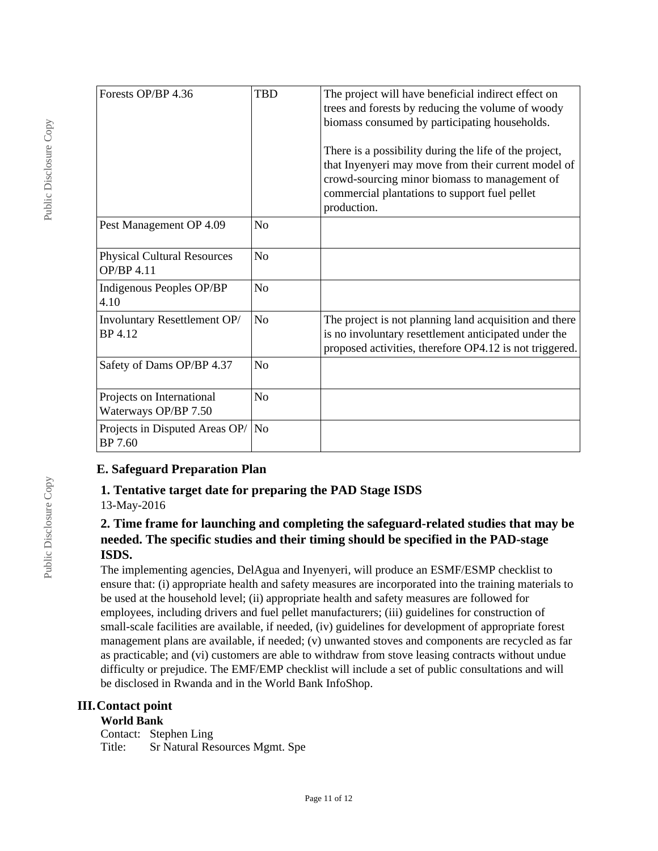| Forests OP/BP 4.36                                | <b>TBD</b>     | The project will have beneficial indirect effect on<br>trees and forests by reducing the volume of woody<br>biomass consumed by participating households.<br>There is a possibility during the life of the project,<br>that Inyenyeri may move from their current model of<br>crowd-sourcing minor biomass to management of<br>commercial plantations to support fuel pellet<br>production. |
|---------------------------------------------------|----------------|---------------------------------------------------------------------------------------------------------------------------------------------------------------------------------------------------------------------------------------------------------------------------------------------------------------------------------------------------------------------------------------------|
| Pest Management OP 4.09                           | N <sub>0</sub> |                                                                                                                                                                                                                                                                                                                                                                                             |
| <b>Physical Cultural Resources</b><br>OP/BP 4.11  | N <sub>o</sub> |                                                                                                                                                                                                                                                                                                                                                                                             |
| Indigenous Peoples OP/BP<br>4.10                  | N <sub>o</sub> |                                                                                                                                                                                                                                                                                                                                                                                             |
| Involuntary Resettlement OP/<br>BP 4.12           | N <sub>o</sub> | The project is not planning land acquisition and there<br>is no involuntary resettlement anticipated under the<br>proposed activities, therefore OP4.12 is not triggered.                                                                                                                                                                                                                   |
| Safety of Dams OP/BP 4.37                         | N <sub>o</sub> |                                                                                                                                                                                                                                                                                                                                                                                             |
| Projects on International<br>Waterways OP/BP 7.50 | N <sub>o</sub> |                                                                                                                                                                                                                                                                                                                                                                                             |
| Projects in Disputed Areas OP/<br>BP 7.60         | N <sub>o</sub> |                                                                                                                                                                                                                                                                                                                                                                                             |

## **E. Safeguard Preparation Plan**

# **1. Tentative target date for preparing the PAD Stage ISDS**

13-May-2016

# **2. Time frame for launching and completing the safeguard-related studies that may be needed. The specific studies and their timing should be specified in the PAD-stage ISDS.**

The implementing agencies, DelAgua and Inyenyeri, will produce an ESMF/ESMP checklist to ensure that: (i) appropriate health and safety measures are incorporated into the training materials to be used at the household level; (ii) appropriate health and safety measures are followed for employees, including drivers and fuel pellet manufacturers; (iii) guidelines for construction of small-scale facilities are available, if needed, (iv) guidelines for development of appropriate forest management plans are available, if needed; (v) unwanted stoves and components are recycled as far as practicable; and (vi) customers are able to withdraw from stove leasing contracts without undue difficulty or prejudice. The EMF/EMP checklist will include a set of public consultations and will be disclosed in Rwanda and in the World Bank InfoShop.

# **III.Contact point**

#### **World Bank**

Contact: Stephen Ling Title: Sr Natural Resources Mgmt. Spe